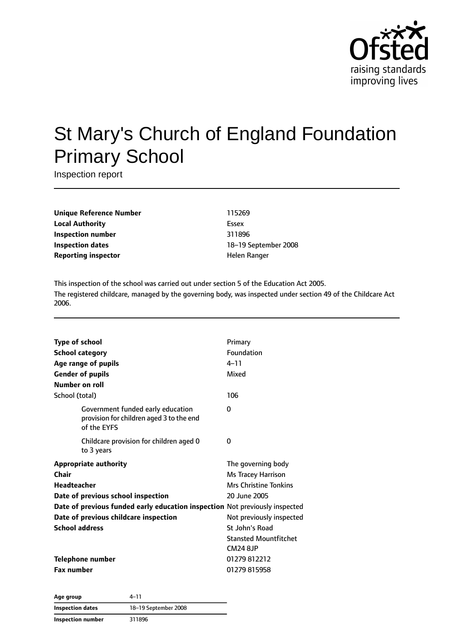

# St Mary's Church of England Foundation Primary School

Inspection report

**Unique Reference Number** 115269 **Local Authority** Essex **Inspection number** 311896 **Inspection dates** 18–19 September 2008 **Reporting inspector Exercise 2 and America** Helen Ranger

This inspection of the school was carried out under section 5 of the Education Act 2005. The registered childcare, managed by the governing body, was inspected under section 49 of the Childcare Act 2006.

| <b>Type of school</b> |                                                                                              | Primary                      |
|-----------------------|----------------------------------------------------------------------------------------------|------------------------------|
|                       | <b>School category</b>                                                                       | Foundation                   |
|                       | Age range of pupils                                                                          | $4 - 11$                     |
|                       | <b>Gender of pupils</b>                                                                      | Mixed                        |
| Number on roll        |                                                                                              |                              |
| School (total)        |                                                                                              | 106                          |
|                       | Government funded early education<br>provision for children aged 3 to the end<br>of the EYFS | 0                            |
|                       | Childcare provision for children aged 0<br>to 3 years                                        | 0                            |
|                       | <b>Appropriate authority</b>                                                                 | The governing body           |
| Chair                 |                                                                                              | Ms Tracey Harrison           |
| <b>Headteacher</b>    |                                                                                              | <b>Mrs Christine Tonkins</b> |
|                       | Date of previous school inspection                                                           | 20 June 2005                 |
|                       | Date of previous funded early education inspection Not previously inspected                  |                              |
|                       | Date of previous childcare inspection                                                        | Not previously inspected     |
| <b>School address</b> |                                                                                              | St John's Road               |
|                       |                                                                                              | <b>Stansted Mountfitchet</b> |
|                       |                                                                                              | <b>CM24 8JP</b>              |
|                       | <b>Telephone number</b>                                                                      | 01279812212                  |
| <b>Fax number</b>     |                                                                                              | 01279815958                  |
|                       |                                                                                              |                              |

**Age group** 4–11 **Inspection dates** 18–19 September 2008 **Inspection number** 311896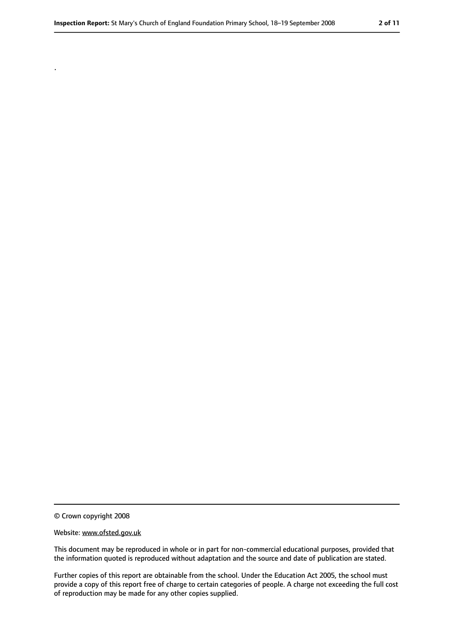© Crown copyright 2008

.

#### Website: www.ofsted.gov.uk

This document may be reproduced in whole or in part for non-commercial educational purposes, provided that the information quoted is reproduced without adaptation and the source and date of publication are stated.

Further copies of this report are obtainable from the school. Under the Education Act 2005, the school must provide a copy of this report free of charge to certain categories of people. A charge not exceeding the full cost of reproduction may be made for any other copies supplied.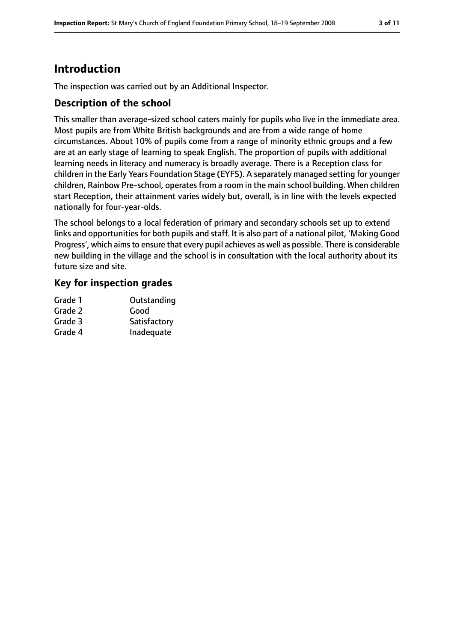# **Introduction**

The inspection was carried out by an Additional Inspector.

### **Description of the school**

This smaller than average-sized school caters mainly for pupils who live in the immediate area. Most pupils are from White British backgrounds and are from a wide range of home circumstances. About 10% of pupils come from a range of minority ethnic groups and a few are at an early stage of learning to speak English. The proportion of pupils with additional learning needs in literacy and numeracy is broadly average. There is a Reception class for children in the Early Years Foundation Stage (EYFS). A separately managed setting for younger children, Rainbow Pre-school, operates from a room in the main school building. When children start Reception, their attainment varies widely but, overall, is in line with the levels expected nationally for four-year-olds.

The school belongs to a local federation of primary and secondary schools set up to extend links and opportunities for both pupils and staff. It is also part of a national pilot, 'Making Good Progress', which aims to ensure that every pupil achieves as well as possible. There is considerable new building in the village and the school is in consultation with the local authority about its future size and site.

#### **Key for inspection grades**

| Grade 1 | Outstanding  |
|---------|--------------|
| Grade 2 | Good         |
| Grade 3 | Satisfactory |
| Grade 4 | Inadequate   |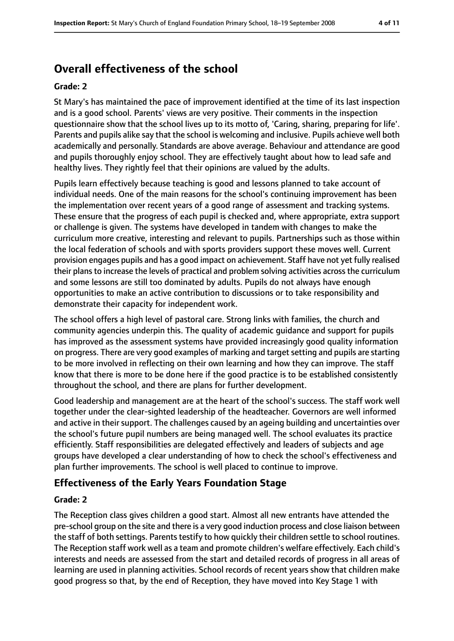# **Overall effectiveness of the school**

#### **Grade: 2**

St Mary's has maintained the pace of improvement identified at the time of its last inspection and is a good school. Parents' views are very positive. Their comments in the inspection questionnaire show that the school lives up to its motto of, 'Caring, sharing, preparing for life'. Parents and pupils alike say that the school is welcoming and inclusive. Pupils achieve well both academically and personally. Standards are above average. Behaviour and attendance are good and pupils thoroughly enjoy school. They are effectively taught about how to lead safe and healthy lives. They rightly feel that their opinions are valued by the adults.

Pupils learn effectively because teaching is good and lessons planned to take account of individual needs. One of the main reasons for the school's continuing improvement has been the implementation over recent years of a good range of assessment and tracking systems. These ensure that the progress of each pupil is checked and, where appropriate, extra support or challenge is given. The systems have developed in tandem with changes to make the curriculum more creative, interesting and relevant to pupils. Partnerships such as those within the local federation of schools and with sports providers support these moves well. Current provision engages pupils and has a good impact on achievement. Staff have not yet fully realised their plans to increase the levels of practical and problem solving activities across the curriculum and some lessons are still too dominated by adults. Pupils do not always have enough opportunities to make an active contribution to discussions or to take responsibility and demonstrate their capacity for independent work.

The school offers a high level of pastoral care. Strong links with families, the church and community agencies underpin this. The quality of academic guidance and support for pupils has improved as the assessment systems have provided increasingly good quality information on progress. There are very good examples of marking and target setting and pupils are starting to be more involved in reflecting on their own learning and how they can improve. The staff know that there is more to be done here if the good practice is to be established consistently throughout the school, and there are plans for further development.

Good leadership and management are at the heart of the school's success. The staff work well together under the clear-sighted leadership of the headteacher. Governors are well informed and active in their support. The challenges caused by an ageing building and uncertainties over the school's future pupil numbers are being managed well. The school evaluates its practice efficiently. Staff responsibilities are delegated effectively and leaders of subjects and age groups have developed a clear understanding of how to check the school's effectiveness and plan further improvements. The school is well placed to continue to improve.

#### **Effectiveness of the Early Years Foundation Stage**

#### **Grade: 2**

The Reception class gives children a good start. Almost all new entrants have attended the pre-school group on the site and there is a very good induction process and close liaison between the staff of both settings. Parents testify to how quickly their children settle to school routines. The Reception staff work well as a team and promote children's welfare effectively. Each child's interests and needs are assessed from the start and detailed records of progress in all areas of learning are used in planning activities. School records of recent years show that children make good progress so that, by the end of Reception, they have moved into Key Stage 1 with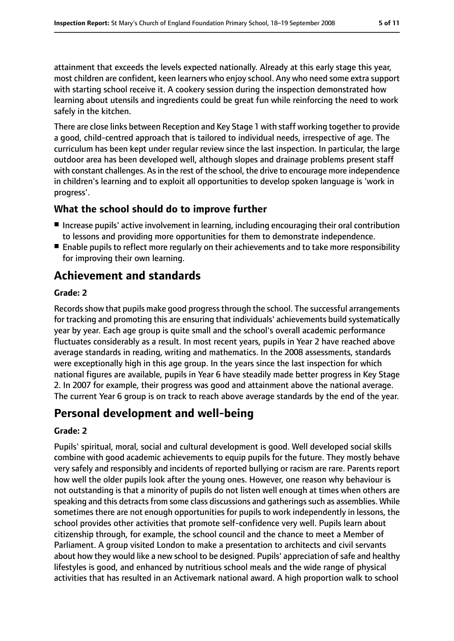attainment that exceeds the levels expected nationally. Already at this early stage this year, most children are confident, keen learners who enjoy school. Any who need some extra support with starting school receive it. A cookery session during the inspection demonstrated how learning about utensils and ingredients could be great fun while reinforcing the need to work safely in the kitchen.

There are close links between Reception and Key Stage 1 with staff working together to provide a good, child-centred approach that is tailored to individual needs, irrespective of age. The curriculum has been kept under regular review since the last inspection. In particular, the large outdoor area has been developed well, although slopes and drainage problems present staff with constant challenges. As in the rest of the school, the drive to encourage more independence in children's learning and to exploit all opportunities to develop spoken language is 'work in progress'.

### **What the school should do to improve further**

- Increase pupils' active involvement in learning, including encouraging their oral contribution to lessons and providing more opportunities for them to demonstrate independence.
- Enable pupils to reflect more regularly on their achievements and to take more responsibility for improving their own learning.

# **Achievement and standards**

#### **Grade: 2**

Records show that pupils make good progress through the school. The successful arrangements for tracking and promoting this are ensuring that individuals' achievements build systematically year by year. Each age group is quite small and the school's overall academic performance fluctuates considerably as a result. In most recent years, pupils in Year 2 have reached above average standards in reading, writing and mathematics. In the 2008 assessments, standards were exceptionally high in this age group. In the years since the last inspection for which national figures are available, pupils in Year 6 have steadily made better progress in Key Stage 2. In 2007 for example, their progress was good and attainment above the national average. The current Year 6 group is on track to reach above average standards by the end of the year.

# **Personal development and well-being**

#### **Grade: 2**

Pupils' spiritual, moral, social and cultural development is good. Well developed social skills combine with good academic achievements to equip pupils for the future. They mostly behave very safely and responsibly and incidents of reported bullying or racism are rare. Parents report how well the older pupils look after the young ones. However, one reason why behaviour is not outstanding is that a minority of pupils do not listen well enough at times when others are speaking and this detracts from some class discussions and gatherings such as assemblies. While sometimes there are not enough opportunities for pupils to work independently in lessons, the school provides other activities that promote self-confidence very well. Pupils learn about citizenship through, for example, the school council and the chance to meet a Member of Parliament. A group visited London to make a presentation to architects and civil servants about how they would like a new school to be designed. Pupils' appreciation of safe and healthy lifestyles is good, and enhanced by nutritious school meals and the wide range of physical activities that has resulted in an Activemark national award. A high proportion walk to school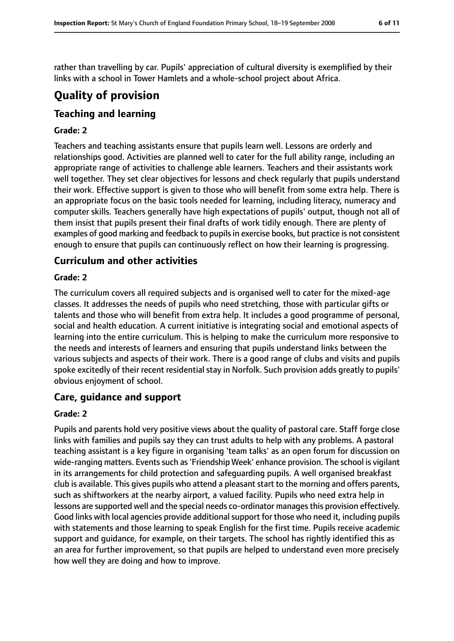rather than travelling by car. Pupils' appreciation of cultural diversity is exemplified by their links with a school in Tower Hamlets and a whole-school project about Africa.

# **Quality of provision**

# **Teaching and learning**

#### **Grade: 2**

Teachers and teaching assistants ensure that pupils learn well. Lessons are orderly and relationships good. Activities are planned well to cater for the full ability range, including an appropriate range of activities to challenge able learners. Teachers and their assistants work well together. They set clear objectives for lessons and check regularly that pupils understand their work. Effective support is given to those who will benefit from some extra help. There is an appropriate focus on the basic tools needed for learning, including literacy, numeracy and computer skills. Teachers generally have high expectations of pupils' output, though not all of them insist that pupils present their final drafts of work tidily enough. There are plenty of examples of good marking and feedback to pupils in exercise books, but practice is not consistent enough to ensure that pupils can continuously reflect on how their learning is progressing.

### **Curriculum and other activities**

#### **Grade: 2**

The curriculum covers all required subjects and is organised well to cater for the mixed-age classes. It addresses the needs of pupils who need stretching, those with particular gifts or talents and those who will benefit from extra help. It includes a good programme of personal, social and health education. A current initiative is integrating social and emotional aspects of learning into the entire curriculum. This is helping to make the curriculum more responsive to the needs and interests of learners and ensuring that pupils understand links between the various subjects and aspects of their work. There is a good range of clubs and visits and pupils spoke excitedly of their recent residential stay in Norfolk. Such provision adds greatly to pupils' obvious enjoyment of school.

#### **Care, guidance and support**

#### **Grade: 2**

Pupils and parents hold very positive views about the quality of pastoral care. Staff forge close links with families and pupils say they can trust adults to help with any problems. A pastoral teaching assistant is a key figure in organising 'team talks' as an open forum for discussion on wide-ranging matters. Events such as 'Friendship Week' enhance provision. The school is vigilant in its arrangements for child protection and safeguarding pupils. A well organised breakfast club is available. This gives pupils who attend a pleasant start to the morning and offers parents, such as shiftworkers at the nearby airport, a valued facility. Pupils who need extra help in lessons are supported well and the special needs co-ordinator managesthis provision effectively. Good links with local agencies provide additional support for those who need it, including pupils with statements and those learning to speak English for the first time. Pupils receive academic support and guidance, for example, on their targets. The school has rightly identified this as an area for further improvement, so that pupils are helped to understand even more precisely how well they are doing and how to improve.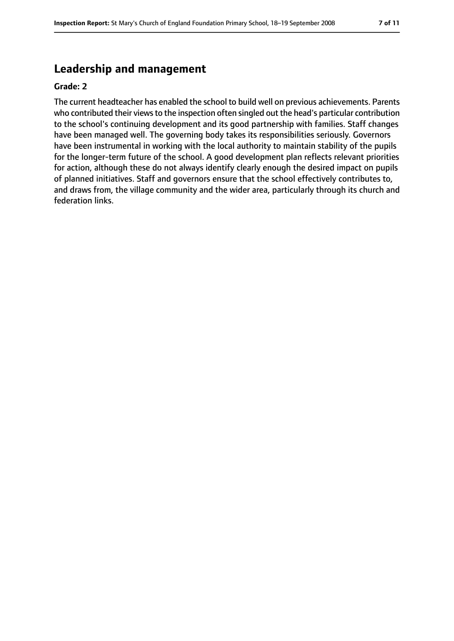# **Leadership and management**

#### **Grade: 2**

The current headteacher has enabled the school to build well on previous achievements. Parents who contributed their views to the inspection often singled out the head's particular contribution to the school's continuing development and its good partnership with families. Staff changes have been managed well. The governing body takes its responsibilities seriously. Governors have been instrumental in working with the local authority to maintain stability of the pupils for the longer-term future of the school. A good development plan reflects relevant priorities for action, although these do not always identify clearly enough the desired impact on pupils of planned initiatives. Staff and governors ensure that the school effectively contributes to, and draws from, the village community and the wider area, particularly through its church and federation links.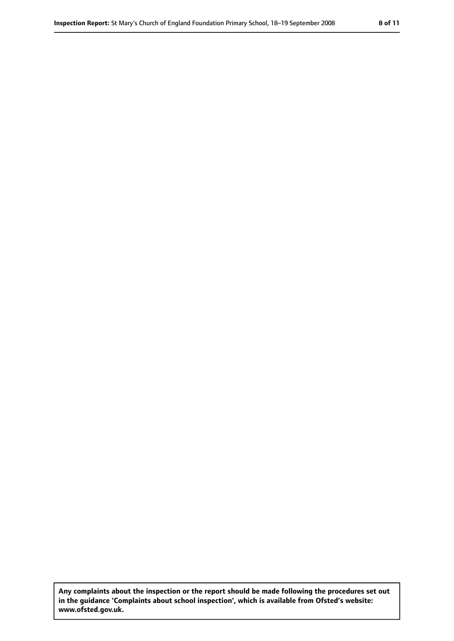**Any complaints about the inspection or the report should be made following the procedures set out in the guidance 'Complaints about school inspection', which is available from Ofsted's website: www.ofsted.gov.uk.**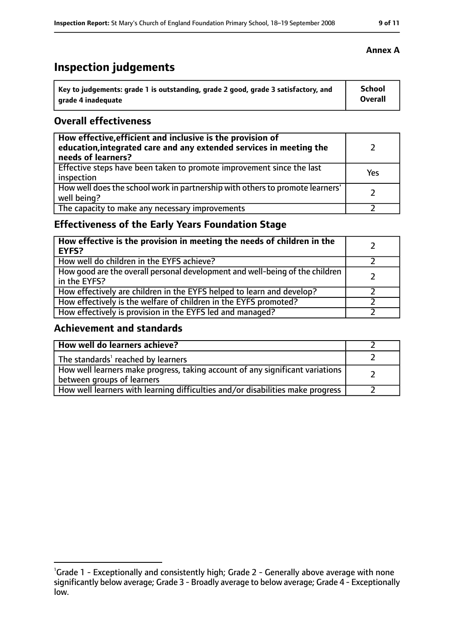# **Inspection judgements**

| ˈ Key to judgements: grade 1 is outstanding, grade 2 good, grade 3 satisfactory, and | School         |
|--------------------------------------------------------------------------------------|----------------|
| grade 4 inadequate                                                                   | <b>Overall</b> |

### **Overall effectiveness**

| How effective, efficient and inclusive is the provision of<br>education, integrated care and any extended services in meeting the<br>needs of learners? |     |
|---------------------------------------------------------------------------------------------------------------------------------------------------------|-----|
| Effective steps have been taken to promote improvement since the last<br>inspection                                                                     | Yes |
| How well does the school work in partnership with others to promote learners'<br>well being?                                                            |     |
| The capacity to make any necessary improvements                                                                                                         |     |

# **Effectiveness of the Early Years Foundation Stage**

| How effective is the provision in meeting the needs of children in the<br><b>EYFS?</b>       |  |
|----------------------------------------------------------------------------------------------|--|
| How well do children in the EYFS achieve?                                                    |  |
| How good are the overall personal development and well-being of the children<br>in the EYFS? |  |
| How effectively are children in the EYFS helped to learn and develop?                        |  |
| How effectively is the welfare of children in the EYFS promoted?                             |  |
| How effectively is provision in the EYFS led and managed?                                    |  |

### **Achievement and standards**

| How well do learners achieve?                                                                               |  |
|-------------------------------------------------------------------------------------------------------------|--|
| The standards <sup>1</sup> reached by learners                                                              |  |
| How well learners make progress, taking account of any significant variations<br>between groups of learners |  |
| How well learners with learning difficulties and/or disabilities make progress                              |  |

# **Annex A**

<sup>&</sup>lt;sup>1</sup>Grade 1 - Exceptionally and consistently high; Grade 2 - Generally above average with none significantly below average; Grade 3 - Broadly average to below average; Grade 4 - Exceptionally low.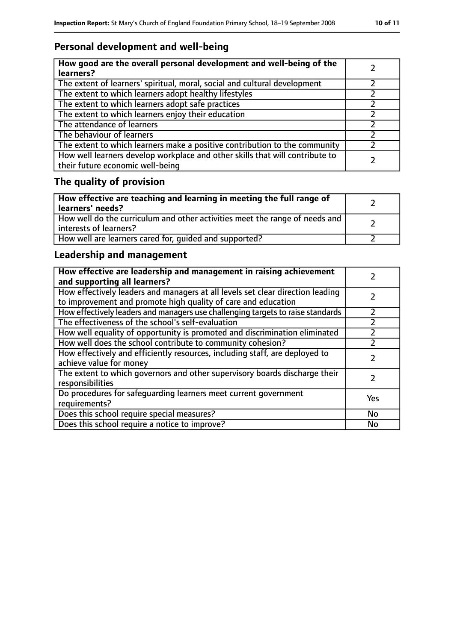# **Personal development and well-being**

| How good are the overall personal development and well-being of the<br>learners?                                 |  |
|------------------------------------------------------------------------------------------------------------------|--|
| The extent of learners' spiritual, moral, social and cultural development                                        |  |
| The extent to which learners adopt healthy lifestyles                                                            |  |
| The extent to which learners adopt safe practices                                                                |  |
| The extent to which learners enjoy their education                                                               |  |
| The attendance of learners                                                                                       |  |
| The behaviour of learners                                                                                        |  |
| The extent to which learners make a positive contribution to the community                                       |  |
| How well learners develop workplace and other skills that will contribute to<br>their future economic well-being |  |

# **The quality of provision**

| How effective are teaching and learning in meeting the full range of<br>learners' needs?              |  |
|-------------------------------------------------------------------------------------------------------|--|
| How well do the curriculum and other activities meet the range of needs and<br>interests of learners? |  |
| How well are learners cared for, quided and supported?                                                |  |

# **Leadership and management**

| How effective are leadership and management in raising achievement<br>and supporting all learners?                                              |           |
|-------------------------------------------------------------------------------------------------------------------------------------------------|-----------|
| How effectively leaders and managers at all levels set clear direction leading<br>to improvement and promote high quality of care and education |           |
| How effectively leaders and managers use challenging targets to raise standards                                                                 |           |
| The effectiveness of the school's self-evaluation                                                                                               |           |
| How well equality of opportunity is promoted and discrimination eliminated                                                                      |           |
| How well does the school contribute to community cohesion?                                                                                      |           |
| How effectively and efficiently resources, including staff, are deployed to<br>achieve value for money                                          |           |
| The extent to which governors and other supervisory boards discharge their<br>responsibilities                                                  |           |
| Do procedures for safequarding learners meet current government<br>requirements?                                                                | Yes       |
| Does this school require special measures?                                                                                                      | No        |
| Does this school require a notice to improve?                                                                                                   | <b>No</b> |